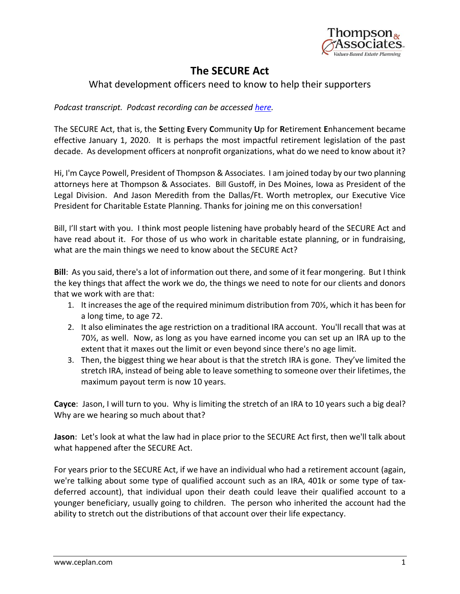

## **The SECURE Act**

## What development officers need to know to help their supporters

*Podcast transcript. Podcast recording can be accessed [here.](http://www.ceplan.com/secure)*

The SECURE Act, that is, the **S**etting **E**very **C**ommunity **U**p for **R**etirement **E**nhancement became effective January 1, 2020. It is perhaps the most impactful retirement legislation of the past decade. As development officers at nonprofit organizations, what do we need to know about it?

Hi, I'm Cayce Powell, President of Thompson & Associates. I am joined today by our two planning attorneys here at Thompson & Associates. Bill Gustoff, in Des Moines, Iowa as President of the Legal Division. And Jason Meredith from the Dallas/Ft. Worth metroplex, our Executive Vice President for Charitable Estate Planning. Thanks for joining me on this conversation!

Bill, I'll start with you. I think most people listening have probably heard of the SECURE Act and have read about it. For those of us who work in charitable estate planning, or in fundraising, what are the main things we need to know about the SECURE Act?

**Bill**: As you said, there's a lot of information out there, and some of it fear mongering. But I think the key things that affect the work we do, the things we need to note for our clients and donors that we work with are that:

- 1. It increases the age of the required minimum distribution from 70½, which it has been for a long time, to age 72.
- 2. It also eliminates the age restriction on a traditional IRA account. You'll recall that was at 70½, as well. Now, as long as you have earned income you can set up an IRA up to the extent that it maxes out the limit or even beyond since there's no age limit.
- 3. Then, the biggest thing we hear about is that the stretch IRA is gone. They've limited the stretch IRA, instead of being able to leave something to someone over their lifetimes, the maximum payout term is now 10 years.

**Cayce**: Jason, I will turn to you. Why is limiting the stretch of an IRA to 10 years such a big deal? Why are we hearing so much about that?

**Jason**: Let's look at what the law had in place prior to the SECURE Act first, then we'll talk about what happened after the SECURE Act.

For years prior to the SECURE Act, if we have an individual who had a retirement account (again, we're talking about some type of qualified account such as an IRA, 401k or some type of taxdeferred account), that individual upon their death could leave their qualified account to a younger beneficiary, usually going to children. The person who inherited the account had the ability to stretch out the distributions of that account over their life expectancy.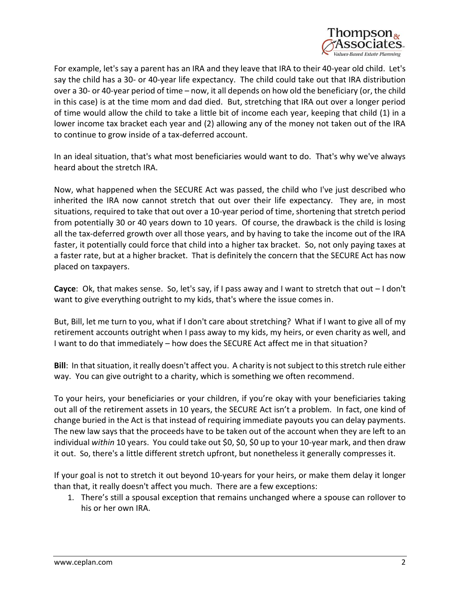

For example, let's say a parent has an IRA and they leave that IRA to their 40-year old child. Let's say the child has a 30- or 40-year life expectancy. The child could take out that IRA distribution over a 30- or 40-year period of time – now, it all depends on how old the beneficiary (or, the child in this case) is at the time mom and dad died. But, stretching that IRA out over a longer period of time would allow the child to take a little bit of income each year, keeping that child (1) in a lower income tax bracket each year and (2) allowing any of the money not taken out of the IRA to continue to grow inside of a tax-deferred account.

In an ideal situation, that's what most beneficiaries would want to do. That's why we've always heard about the stretch IRA.

Now, what happened when the SECURE Act was passed, the child who I've just described who inherited the IRA now cannot stretch that out over their life expectancy. They are, in most situations, required to take that out over a 10-year period of time, shortening that stretch period from potentially 30 or 40 years down to 10 years. Of course, the drawback is the child is losing all the tax-deferred growth over all those years, and by having to take the income out of the IRA faster, it potentially could force that child into a higher tax bracket. So, not only paying taxes at a faster rate, but at a higher bracket. That is definitely the concern that the SECURE Act has now placed on taxpayers.

**Cayce**: Ok, that makes sense. So, let's say, if I pass away and I want to stretch that out – I don't want to give everything outright to my kids, that's where the issue comes in.

But, Bill, let me turn to you, what if I don't care about stretching? What if I want to give all of my retirement accounts outright when I pass away to my kids, my heirs, or even charity as well, and I want to do that immediately – how does the SECURE Act affect me in that situation?

**Bill:** In that situation, it really doesn't affect you. A charity is not subject to this stretch rule either way. You can give outright to a charity, which is something we often recommend.

To your heirs, your beneficiaries or your children, if you're okay with your beneficiaries taking out all of the retirement assets in 10 years, the SECURE Act isn't a problem. In fact, one kind of change buried in the Act is that instead of requiring immediate payouts you can delay payments. The new law says that the proceeds have to be taken out of the account when they are left to an individual *within* 10 years. You could take out \$0, \$0, \$0 up to your 10-year mark, and then draw it out. So, there's a little different stretch upfront, but nonetheless it generally compresses it.

If your goal is not to stretch it out beyond 10-years for your heirs, or make them delay it longer than that, it really doesn't affect you much. There are a few exceptions:

1. There's still a spousal exception that remains unchanged where a spouse can rollover to his or her own IRA.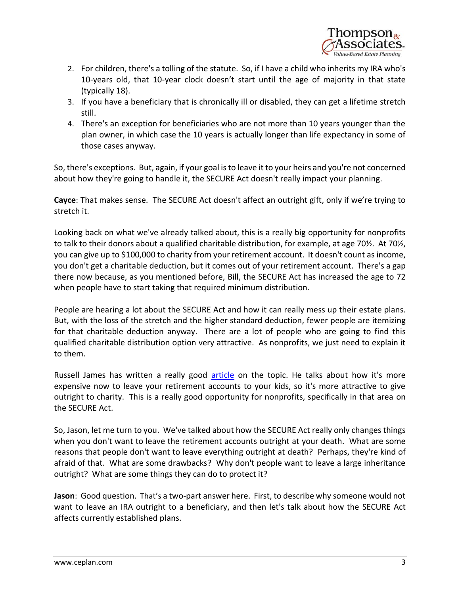

- 2. For children, there's a tolling of the statute. So, if I have a child who inherits my IRA who's 10-years old, that 10-year clock doesn't start until the age of majority in that state (typically 18).
- 3. If you have a beneficiary that is chronically ill or disabled, they can get a lifetime stretch still.
- 4. There's an exception for beneficiaries who are not more than 10 years younger than the plan owner, in which case the 10 years is actually longer than life expectancy in some of those cases anyway.

So, there's exceptions. But, again, if your goal is to leave it to your heirs and you're not concerned about how they're going to handle it, the SECURE Act doesn't really impact your planning.

**Cayce**: That makes sense. The SECURE Act doesn't affect an outright gift, only if we're trying to stretch it.

Looking back on what we've already talked about, this is a really big opportunity for nonprofits to talk to their donors about a qualified charitable distribution, for example, at age 70½. At 70½, you can give up to \$100,000 to charity from your retirement account. It doesn't count as income, you don't get a charitable deduction, but it comes out of your retirement account. There's a gap there now because, as you mentioned before, Bill, the SECURE Act has increased the age to 72 when people have to start taking that required minimum distribution.

People are hearing a lot about the SECURE Act and how it can really mess up their estate plans. But, with the loss of the stretch and the higher standard deduction, fewer people are itemizing for that charitable deduction anyway. There are a lot of people who are going to find this qualified charitable distribution option very attractive. As nonprofits, we just need to explain it to them.

Russell James has written a really good [article](https://www.linkedin.com/pulse/4-things-fundraisers-need-know-secure-act-james-j-d-ph-d-cfp-/?trackingId=l5uAxXOY9EczlPttdOWk%2BQ%3D%3D) on the topic. He talks about how it's more expensive now to leave your retirement accounts to your kids, so it's more attractive to give outright to charity. This is a really good opportunity for nonprofits, specifically in that area on the SECURE Act.

So, Jason, let me turn to you. We've talked about how the SECURE Act really only changes things when you don't want to leave the retirement accounts outright at your death. What are some reasons that people don't want to leave everything outright at death? Perhaps, they're kind of afraid of that. What are some drawbacks? Why don't people want to leave a large inheritance outright? What are some things they can do to protect it?

**Jason**: Good question. That's a two-part answer here. First, to describe why someone would not want to leave an IRA outright to a beneficiary, and then let's talk about how the SECURE Act affects currently established plans.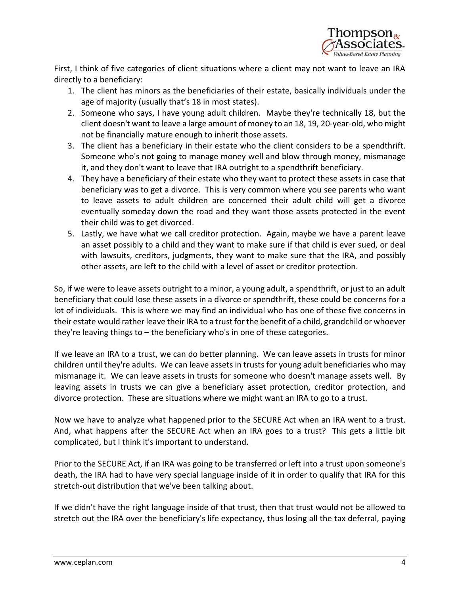

First, I think of five categories of client situations where a client may not want to leave an IRA directly to a beneficiary:

- 1. The client has minors as the beneficiaries of their estate, basically individuals under the age of majority (usually that's 18 in most states).
- 2. Someone who says, I have young adult children. Maybe they're technically 18, but the client doesn't want to leave a large amount of money to an 18, 19, 20-year-old, who might not be financially mature enough to inherit those assets.
- 3. The client has a beneficiary in their estate who the client considers to be a spendthrift. Someone who's not going to manage money well and blow through money, mismanage it, and they don't want to leave that IRA outright to a spendthrift beneficiary.
- 4. They have a beneficiary of their estate who they want to protect these assets in case that beneficiary was to get a divorce. This is very common where you see parents who want to leave assets to adult children are concerned their adult child will get a divorce eventually someday down the road and they want those assets protected in the event their child was to get divorced.
- 5. Lastly, we have what we call creditor protection. Again, maybe we have a parent leave an asset possibly to a child and they want to make sure if that child is ever sued, or deal with lawsuits, creditors, judgments, they want to make sure that the IRA, and possibly other assets, are left to the child with a level of asset or creditor protection.

So, if we were to leave assets outright to a minor, a young adult, a spendthrift, or just to an adult beneficiary that could lose these assets in a divorce or spendthrift, these could be concerns for a lot of individuals. This is where we may find an individual who has one of these five concerns in their estate would rather leave their IRA to a trust for the benefit of a child, grandchild or whoever they're leaving things to – the beneficiary who's in one of these categories.

If we leave an IRA to a trust, we can do better planning. We can leave assets in trusts for minor children until they're adults. We can leave assets in trusts for young adult beneficiaries who may mismanage it. We can leave assets in trusts for someone who doesn't manage assets well. By leaving assets in trusts we can give a beneficiary asset protection, creditor protection, and divorce protection. These are situations where we might want an IRA to go to a trust.

Now we have to analyze what happened prior to the SECURE Act when an IRA went to a trust. And, what happens after the SECURE Act when an IRA goes to a trust? This gets a little bit complicated, but I think it's important to understand.

Prior to the SECURE Act, if an IRA was going to be transferred or left into a trust upon someone's death, the IRA had to have very special language inside of it in order to qualify that IRA for this stretch-out distribution that we've been talking about.

If we didn't have the right language inside of that trust, then that trust would not be allowed to stretch out the IRA over the beneficiary's life expectancy, thus losing all the tax deferral, paying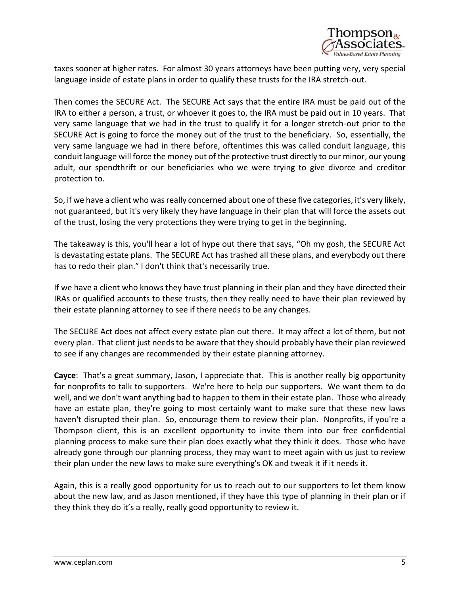

taxes sooner at higher rates. For almost 30 years attorneys have been putting very, very special language inside of estate plans in order to qualify these trusts for the IRA stretch-out.

Then comes the SECURE Act. The SECURE Act says that the entire IRA must be paid out of the IRA to either a person, a trust, or whoever it goes to, the IRA must be paid out in 10 years. That very same language that we had in the trust to qualify it for a longer stretch-out prior to the SECURE Act is going to force the money out of the trust to the beneficiary. So, essentially, the very same language we had in there before, oftentimes this was called conduit language, this conduit language will force the money out of the protective trust directly to our minor, our young adult, our spendthrift or our beneficiaries who we were trying to give divorce and creditor protection to.

So, if we have a client who was really concerned about one of these five categories, it's very likely, not guaranteed, but it's very likely they have language in their plan that will force the assets out of the trust, losing the very protections they were trying to get in the beginning.

The takeaway is this, you'll hear a lot of hype out there that says, "Oh my gosh, the SECURE Act is devastating estate plans. The SECURE Act has trashed all these plans, and everybody out there has to redo their plan." I don't think that's necessarily true.

If we have a client who knows they have trust planning in their plan and they have directed their IRAs or qualified accounts to these trusts, then they really need to have their plan reviewed by their estate planning attorney to see if there needs to be any changes.

The SECURE Act does not affect every estate plan out there. It may affect a lot of them, but not every plan. That client just needs to be aware that they should probably have their plan reviewed to see if any changes are recommended by their estate planning attorney.

**Cayce**: That's a great summary, Jason, I appreciate that. This is another really big opportunity for nonprofits to talk to supporters. We're here to help our supporters. We want them to do well, and we don't want anything bad to happen to them in their estate plan. Those who already have an estate plan, they're going to most certainly want to make sure that these new laws haven't disrupted their plan. So, encourage them to review their plan. Nonprofits, if you're a Thompson client, this is an excellent opportunity to invite them into our free confidential planning process to make sure their plan does exactly what they think it does. Those who have already gone through our planning process, they may want to meet again with us just to review their plan under the new laws to make sure everything's OK and tweak it if it needs it.

Again, this is a really good opportunity for us to reach out to our supporters to let them know about the new law, and as Jason mentioned, if they have this type of planning in their plan or if they think they do it's a really, really good opportunity to review it.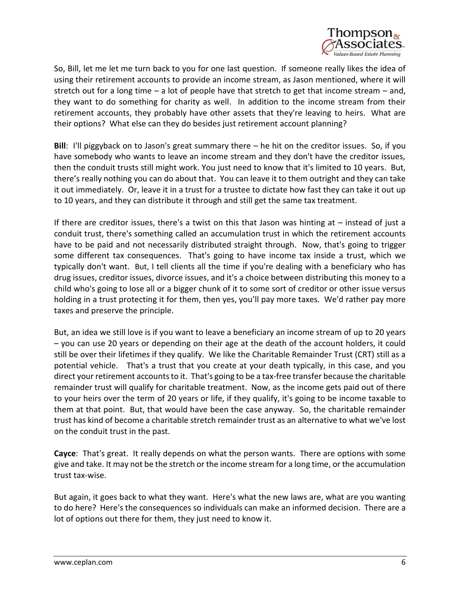

So, Bill, let me let me turn back to you for one last question. If someone really likes the idea of using their retirement accounts to provide an income stream, as Jason mentioned, where it will stretch out for a long time  $-$  a lot of people have that stretch to get that income stream  $-$  and, they want to do something for charity as well. In addition to the income stream from their retirement accounts, they probably have other assets that they're leaving to heirs. What are their options? What else can they do besides just retirement account planning?

**Bill**: I'll piggyback on to Jason's great summary there – he hit on the creditor issues. So, if you have somebody who wants to leave an income stream and they don't have the creditor issues, then the conduit trusts still might work. You just need to know that it's limited to 10 years. But, there's really nothing you can do about that. You can leave it to them outright and they can take it out immediately. Or, leave it in a trust for a trustee to dictate how fast they can take it out up to 10 years, and they can distribute it through and still get the same tax treatment.

If there are creditor issues, there's a twist on this that Jason was hinting at – instead of just a conduit trust, there's something called an accumulation trust in which the retirement accounts have to be paid and not necessarily distributed straight through. Now, that's going to trigger some different tax consequences. That's going to have income tax inside a trust, which we typically don't want. But, I tell clients all the time if you're dealing with a beneficiary who has drug issues, creditor issues, divorce issues, and it's a choice between distributing this money to a child who's going to lose all or a bigger chunk of it to some sort of creditor or other issue versus holding in a trust protecting it for them, then yes, you'll pay more taxes. We'd rather pay more taxes and preserve the principle.

But, an idea we still love is if you want to leave a beneficiary an income stream of up to 20 years – you can use 20 years or depending on their age at the death of the account holders, it could still be over their lifetimes if they qualify. We like the Charitable Remainder Trust (CRT) still as a potential vehicle. That's a trust that you create at your death typically, in this case, and you direct your retirement accounts to it. That's going to be a tax-free transfer because the charitable remainder trust will qualify for charitable treatment. Now, as the income gets paid out of there to your heirs over the term of 20 years or life, if they qualify, it's going to be income taxable to them at that point. But, that would have been the case anyway. So, the charitable remainder trust has kind of become a charitable stretch remainder trust as an alternative to what we've lost on the conduit trust in the past.

**Cayce**: That's great. It really depends on what the person wants. There are options with some give and take. It may not be the stretch or the income stream for a long time, or the accumulation trust tax-wise.

But again, it goes back to what they want. Here's what the new laws are, what are you wanting to do here? Here's the consequences so individuals can make an informed decision. There are a lot of options out there for them, they just need to know it.